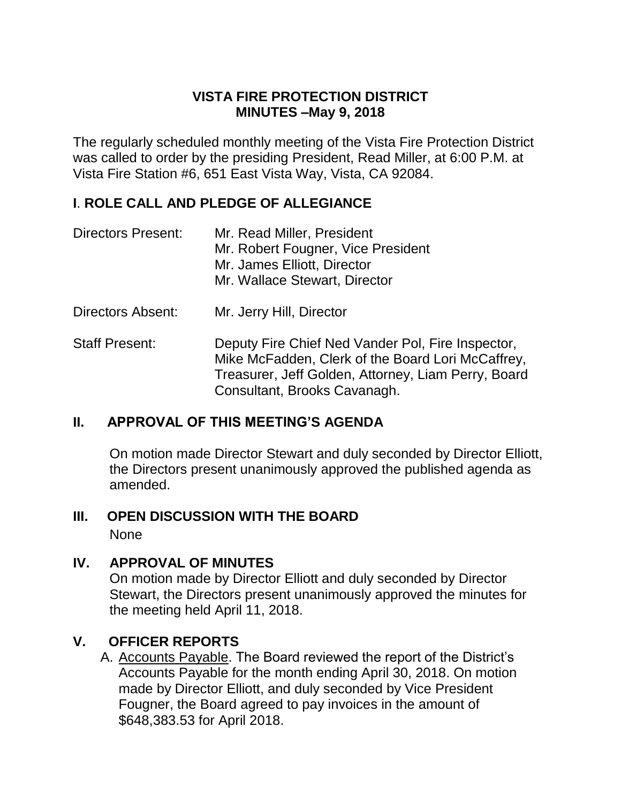# **VISTA FIRE PROTECTION DISTRICT MINUTES –May 9, 2018**

The regularly scheduled monthly meeting of the Vista Fire Protection District was called to order by the presiding President, Read Miller, at 6:00 P.M. at Vista Fire Station #6, 651 East Vista Way, Vista, CA 92084.

### **I**. **ROLE CALL AND PLEDGE OF ALLEGIANCE**

| Directors Present: | Mr. Read Miller, President         |
|--------------------|------------------------------------|
|                    | Mr. Robert Fougner, Vice President |
|                    | Mr. James Elliott, Director        |
|                    | Mr. Wallace Stewart, Director      |

- Directors Absent: Mr. Jerry Hill, Director
- Staff Present: Deputy Fire Chief Ned Vander Pol, Fire Inspector, Mike McFadden, Clerk of the Board Lori McCaffrey, Treasurer, Jeff Golden, Attorney, Liam Perry, Board Consultant, Brooks Cavanagh.

# **II. APPROVAL OF THIS MEETING'S AGENDA**

On motion made Director Stewart and duly seconded by Director Elliott, the Directors present unanimously approved the published agenda as amended.

#### **III. OPEN DISCUSSION WITH THE BOARD** None

# **IV. APPROVAL OF MINUTES**

On motion made by Director Elliott and duly seconded by Director Stewart, the Directors present unanimously approved the minutes for the meeting held April 11, 2018.

# **V. OFFICER REPORTS**

A. Accounts Payable. The Board reviewed the report of the District's Accounts Payable for the month ending April 30, 2018. On motion made by Director Elliott, and duly seconded by Vice President Fougner, the Board agreed to pay invoices in the amount of \$648,383.53 for April 2018.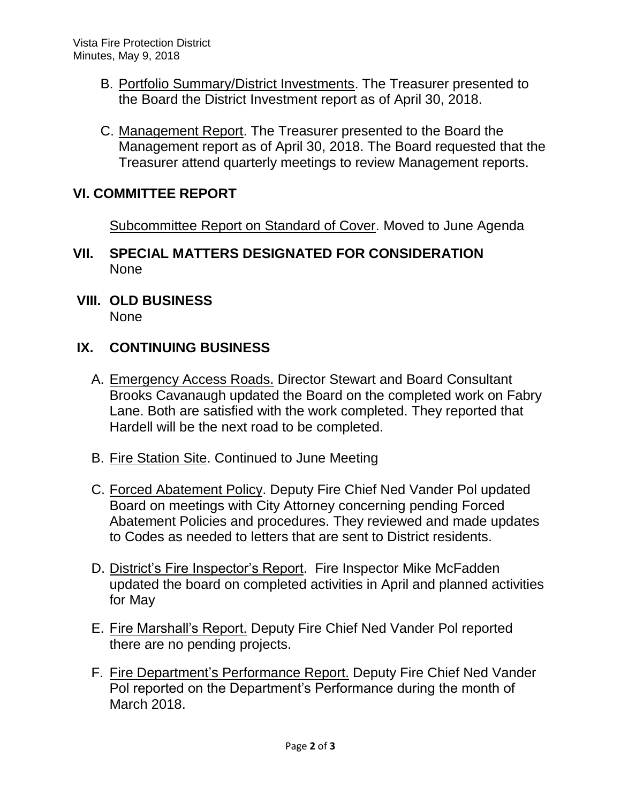- B. Portfolio Summary/District Investments. The Treasurer presented to the Board the District Investment report as of April 30, 2018.
- C. Management Report. The Treasurer presented to the Board the Management report as of April 30, 2018. The Board requested that the Treasurer attend quarterly meetings to review Management reports.

### **VI. COMMITTEE REPORT**

Subcommittee Report on Standard of Cover. Moved to June Agenda

- **VII. SPECIAL MATTERS DESIGNATED FOR CONSIDERATION** None
- **VIII. OLD BUSINESS**

None

### **IX. CONTINUING BUSINESS**

- A. Emergency Access Roads. Director Stewart and Board Consultant Brooks Cavanaugh updated the Board on the completed work on Fabry Lane. Both are satisfied with the work completed. They reported that Hardell will be the next road to be completed.
- B. Fire Station Site. Continued to June Meeting
- C. Forced Abatement Policy. Deputy Fire Chief Ned Vander Pol updated Board on meetings with City Attorney concerning pending Forced Abatement Policies and procedures. They reviewed and made updates to Codes as needed to letters that are sent to District residents.
- D. District's Fire Inspector's Report. Fire Inspector Mike McFadden updated the board on completed activities in April and planned activities for May
- E. Fire Marshall's Report. Deputy Fire Chief Ned Vander Pol reported there are no pending projects.
- F. Fire Department's Performance Report. Deputy Fire Chief Ned Vander Pol reported on the Department's Performance during the month of March 2018.